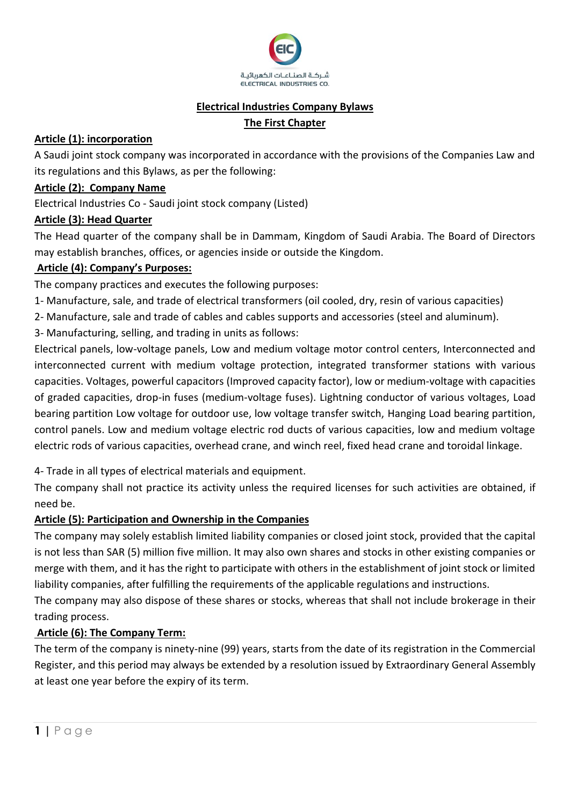

### **Electrical Industries Company Bylaws**

## **The First Chapter**

## **Article (1): incorporation**

A Saudi joint stock company was incorporated in accordance with the provisions of the Companies Law and its regulations and this Bylaws, as per the following:

### **Article (2): Company Name**

Electrical Industries Co - Saudi joint stock company (Listed)

## **Article (3): Head Quarter**

The Head quarter of the company shall be in Dammam, Kingdom of Saudi Arabia. The Board of Directors may establish branches, offices, or agencies inside or outside the Kingdom.

## **Article (4): Company's Purposes:**

The company practices and executes the following purposes:

- 1- Manufacture, sale, and trade of electrical transformers (oil cooled, dry, resin of various capacities)
- 2- Manufacture, sale and trade of cables and cables supports and accessories (steel and aluminum).
- 3- Manufacturing, selling, and trading in units as follows:

Electrical panels, low-voltage panels, Low and medium voltage motor control centers, Interconnected and interconnected current with medium voltage protection, integrated transformer stations with various capacities. Voltages, powerful capacitors (Improved capacity factor), low or medium-voltage with capacities of graded capacities, drop-in fuses (medium-voltage fuses). Lightning conductor of various voltages, Load bearing partition Low voltage for outdoor use, low voltage transfer switch, Hanging Load bearing partition, control panels. Low and medium voltage electric rod ducts of various capacities, low and medium voltage electric rods of various capacities, overhead crane, and winch reel, fixed head crane and toroidal linkage.

4- Trade in all types of electrical materials and equipment.

The company shall not practice its activity unless the required licenses for such activities are obtained, if need be.

## **Article (5): Participation and Ownership in the Companies**

The company may solely establish limited liability companies or closed joint stock, provided that the capital is not less than SAR (5) million five million. It may also own shares and stocks in other existing companies or merge with them, and it has the right to participate with others in the establishment of joint stock or limited liability companies, after fulfilling the requirements of the applicable regulations and instructions.

The company may also dispose of these shares or stocks, whereas that shall not include brokerage in their trading process.

## **Article (6): The Company Term:**

The term of the company is ninety-nine (99) years, starts from the date of its registration in the Commercial Register, and this period may always be extended by a resolution issued by Extraordinary General Assembly at least one year before the expiry of its term.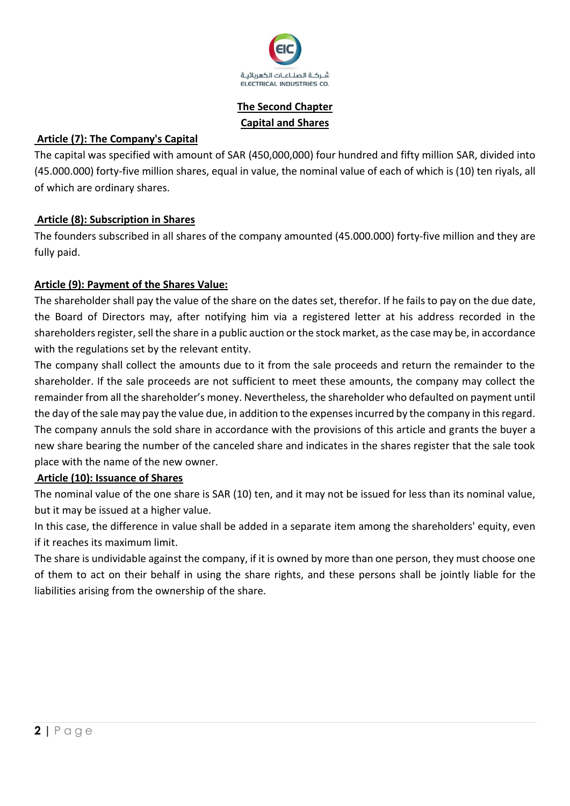

# **The Second Chapter Capital and Shares**

## **Article (7): The Company's Capital**

The capital was specified with amount of SAR (450,000,000) four hundred and fifty million SAR, divided into (45.000.000) forty-five million shares, equal in value, the nominal value of each of which is (10) ten riyals, all of which are ordinary shares.

## **Article (8): Subscription in Shares**

The founders subscribed in all shares of the company amounted (45.000.000) forty-five million and they are fully paid.

## **Article (9): Payment of the Shares Value:**

The shareholder shall pay the value of the share on the dates set, therefor. If he fails to pay on the due date, the Board of Directors may, after notifying him via a registered letter at his address recorded in the shareholders register, sell the share in a public auction or the stock market, as the case may be, in accordance with the regulations set by the relevant entity.

The company shall collect the amounts due to it from the sale proceeds and return the remainder to the shareholder. If the sale proceeds are not sufficient to meet these amounts, the company may collect the remainder from all the shareholder's money. Nevertheless, the shareholder who defaulted on payment until the day of the sale may pay the value due, in addition to the expenses incurred by the company in this regard. The company annuls the sold share in accordance with the provisions of this article and grants the buyer a new share bearing the number of the canceled share and indicates in the shares register that the sale took place with the name of the new owner.

## **Article (10): Issuance of Shares**

The nominal value of the one share is SAR (10) ten, and it may not be issued for less than its nominal value, but it may be issued at a higher value.

In this case, the difference in value shall be added in a separate item among the shareholders' equity, even if it reaches its maximum limit.

The share is undividable against the company, if it is owned by more than one person, they must choose one of them to act on their behalf in using the share rights, and these persons shall be jointly liable for the liabilities arising from the ownership of the share.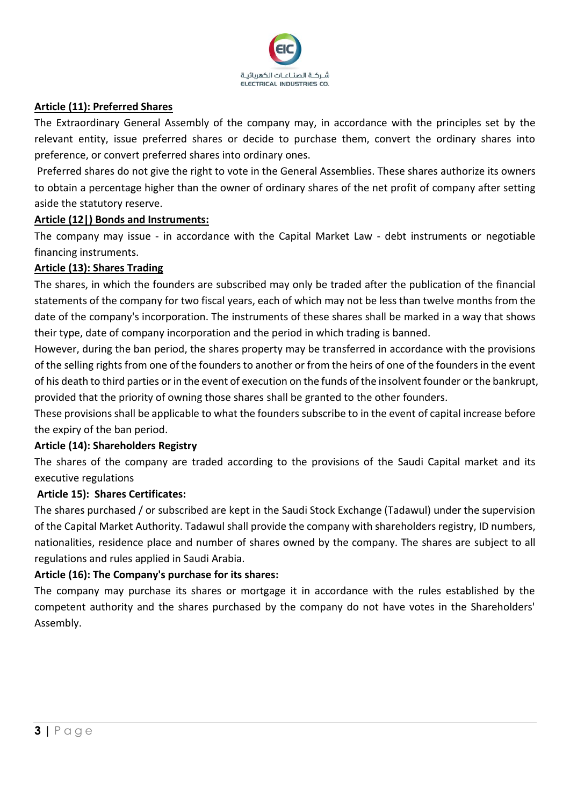

#### **Article (11): Preferred Shares**

The Extraordinary General Assembly of the company may, in accordance with the principles set by the relevant entity, issue preferred shares or decide to purchase them, convert the ordinary shares into preference, or convert preferred shares into ordinary ones.

Preferred shares do not give the right to vote in the General Assemblies. These shares authorize its owners to obtain a percentage higher than the owner of ordinary shares of the net profit of company after setting aside the statutory reserve.

#### **Article (12|) Bonds and Instruments:**

The company may issue - in accordance with the Capital Market Law - debt instruments or negotiable financing instruments.

#### **Article (13): Shares Trading**

The shares, in which the founders are subscribed may only be traded after the publication of the financial statements of the company for two fiscal years, each of which may not be less than twelve months from the date of the company's incorporation. The instruments of these shares shall be marked in a way that shows their type, date of company incorporation and the period in which trading is banned.

However, during the ban period, the shares property may be transferred in accordance with the provisions of the selling rights from one of the founders to another or from the heirs of one of the founders in the event of his death to third parties or in the event of execution on the funds of the insolvent founder or the bankrupt, provided that the priority of owning those shares shall be granted to the other founders.

These provisions shall be applicable to what the founders subscribe to in the event of capital increase before the expiry of the ban period.

### **Article (14): Shareholders Registry**

The shares of the company are traded according to the provisions of the Saudi Capital market and its executive regulations

### **Article 15): Shares Certificates:**

The shares purchased / or subscribed are kept in the Saudi Stock Exchange (Tadawul) under the supervision of the Capital Market Authority. Tadawul shall provide the company with shareholders registry, ID numbers, nationalities, residence place and number of shares owned by the company. The shares are subject to all regulations and rules applied in Saudi Arabia.

### **Article (16): The Company's purchase for its shares:**

The company may purchase its shares or mortgage it in accordance with the rules established by the competent authority and the shares purchased by the company do not have votes in the Shareholders' Assembly.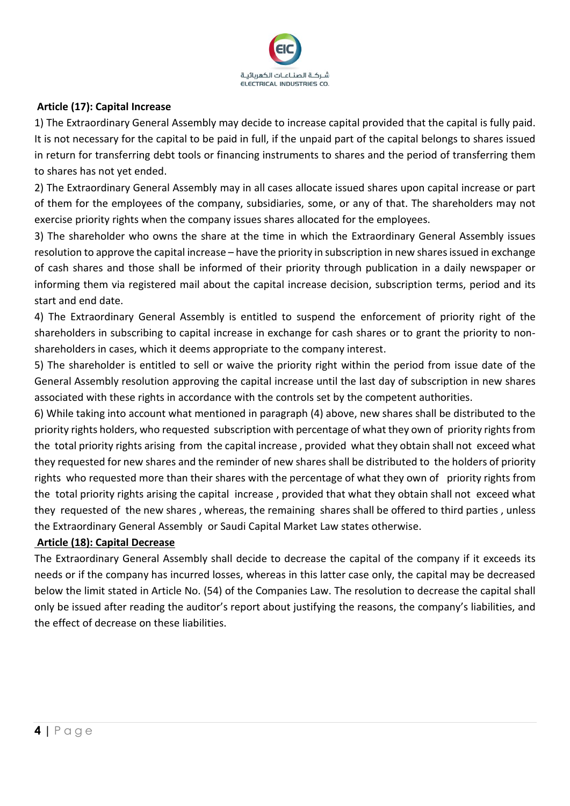

## **Article (17): Capital Increase**

1) The Extraordinary General Assembly may decide to increase capital provided that the capital is fully paid. It is not necessary for the capital to be paid in full, if the unpaid part of the capital belongs to shares issued in return for transferring debt tools or financing instruments to shares and the period of transferring them to shares has not yet ended.

2) The Extraordinary General Assembly may in all cases allocate issued shares upon capital increase or part of them for the employees of the company, subsidiaries, some, or any of that. The shareholders may not exercise priority rights when the company issues shares allocated for the employees.

3) The shareholder who owns the share at the time in which the Extraordinary General Assembly issues resolution to approve the capital increase – have the priority in subscription in new shares issued in exchange of cash shares and those shall be informed of their priority through publication in a daily newspaper or informing them via registered mail about the capital increase decision, subscription terms, period and its start and end date.

4) The Extraordinary General Assembly is entitled to suspend the enforcement of priority right of the shareholders in subscribing to capital increase in exchange for cash shares or to grant the priority to nonshareholders in cases, which it deems appropriate to the company interest.

5) The shareholder is entitled to sell or waive the priority right within the period from issue date of the General Assembly resolution approving the capital increase until the last day of subscription in new shares associated with these rights in accordance with the controls set by the competent authorities.

6) While taking into account what mentioned in paragraph (4) above, new shares shall be distributed to the priority rights holders, who requested subscription with percentage of what they own of priority rights from the total priority rights arising from the capital increase , provided what they obtain shall not exceed what they requested for new shares and the reminder of new shares shall be distributed to the holders of priority rights who requested more than their shares with the percentage of what they own of priority rights from the total priority rights arising the capital increase , provided that what they obtain shall not exceed what they requested of the new shares , whereas, the remaining shares shall be offered to third parties , unless the Extraordinary General Assembly or Saudi Capital Market Law states otherwise.

### **Article (18): Capital Decrease**

The Extraordinary General Assembly shall decide to decrease the capital of the company if it exceeds its needs or if the company has incurred losses, whereas in this latter case only, the capital may be decreased below the limit stated in Article No. (54) of the Companies Law. The resolution to decrease the capital shall only be issued after reading the auditor's report about justifying the reasons, the company's liabilities, and the effect of decrease on these liabilities.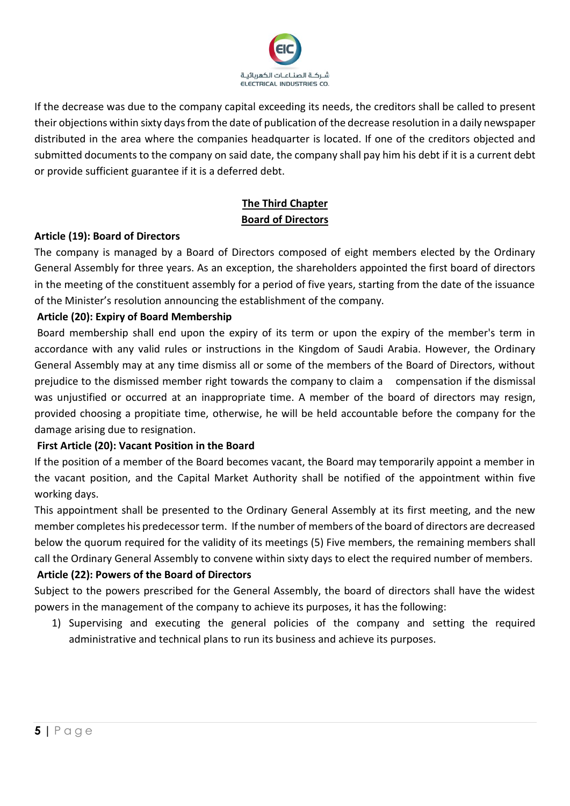

If the decrease was due to the company capital exceeding its needs, the creditors shall be called to present their objections within sixty days from the date of publication of the decrease resolution in a daily newspaper distributed in the area where the companies headquarter is located. If one of the creditors objected and submitted documents to the company on said date, the company shall pay him his debt if it is a current debt or provide sufficient guarantee if it is a deferred debt.

# **The Third Chapter Board of Directors**

### **Article (19): Board of Directors**

The company is managed by a Board of Directors composed of eight members elected by the Ordinary General Assembly for three years. As an exception, the shareholders appointed the first board of directors in the meeting of the constituent assembly for a period of five years, starting from the date of the issuance of the Minister's resolution announcing the establishment of the company.

## **Article (20): Expiry of Board Membership**

Board membership shall end upon the expiry of its term or upon the expiry of the member's term in accordance with any valid rules or instructions in the Kingdom of Saudi Arabia. However, the Ordinary General Assembly may at any time dismiss all or some of the members of the Board of Directors, without prejudice to the dismissed member right towards the company to claim a compensation if the dismissal was unjustified or occurred at an inappropriate time. A member of the board of directors may resign, provided choosing a propitiate time, otherwise, he will be held accountable before the company for the damage arising due to resignation.

## **First Article (20): Vacant Position in the Board**

If the position of a member of the Board becomes vacant, the Board may temporarily appoint a member in the vacant position, and the Capital Market Authority shall be notified of the appointment within five working days.

This appointment shall be presented to the Ordinary General Assembly at its first meeting, and the new member completes his predecessor term. If the number of members of the board of directors are decreased below the quorum required for the validity of its meetings (5) Five members, the remaining members shall call the Ordinary General Assembly to convene within sixty days to elect the required number of members.

## **Article (22): Powers of the Board of Directors**

Subject to the powers prescribed for the General Assembly, the board of directors shall have the widest powers in the management of the company to achieve its purposes, it has the following:

1) Supervising and executing the general policies of the company and setting the required administrative and technical plans to run its business and achieve its purposes.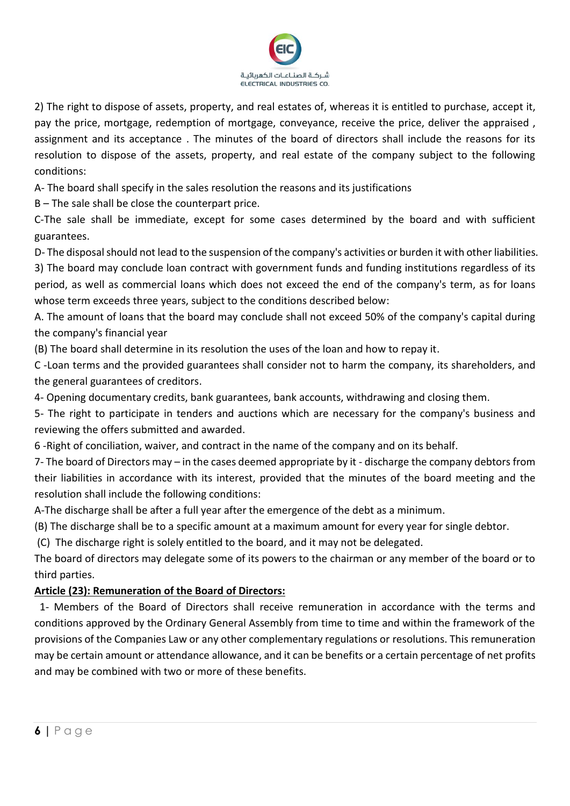

2) The right to dispose of assets, property, and real estates of, whereas it is entitled to purchase, accept it, pay the price, mortgage, redemption of mortgage, conveyance, receive the price, deliver the appraised , assignment and its acceptance . The minutes of the board of directors shall include the reasons for its resolution to dispose of the assets, property, and real estate of the company subject to the following conditions:

A- The board shall specify in the sales resolution the reasons and its justifications

B – The sale shall be close the counterpart price.

C-The sale shall be immediate, except for some cases determined by the board and with sufficient guarantees.

D- The disposal should not lead to the suspension of the company's activities or burden it with other liabilities.

3) The board may conclude loan contract with government funds and funding institutions regardless of its period, as well as commercial loans which does not exceed the end of the company's term, as for loans whose term exceeds three years, subject to the conditions described below :

A. The amount of loans that the board may conclude shall not exceed 50% of the company's capital during the company's financial year

(B) The board shall determine in its resolution the uses of the loan and how to repay it.

C -Loan terms and the provided guarantees shall consider not to harm the company, its shareholders, and the general guarantees of creditors.

4- Opening documentary credits, bank guarantees, bank accounts, withdrawing and closing them.

5- The right to participate in tenders and auctions which are necessary for the company's business and reviewing the offers submitted and awarded.

6 -Right of conciliation, waiver, and contract in the name of the company and on its behalf.

7- The board of Directors may – in the cases deemed appropriate by it - discharge the company debtors from their liabilities in accordance with its interest, provided that the minutes of the board meeting and the resolution shall include the following conditions:

A-The discharge shall be after a full year after the emergence of the debt as a minimum .

(B) The discharge shall be to a specific amount at a maximum amount for every year for single debtor.

(C) The discharge right is solely entitled to the board, and it may not be delegated.

The board of directors may delegate some of its powers to the chairman or any member of the board or to third parties.

### **Article (23): Remuneration of the Board of Directors:**

 1- Members of the Board of Directors shall receive remuneration in accordance with the terms and conditions approved by the Ordinary General Assembly from time to time and within the framework of the provisions of the Companies Law or any other complementary regulations or resolutions. This remuneration may be certain amount or attendance allowance, and it can be benefits or a certain percentage of net profits and may be combined with two or more of these benefits.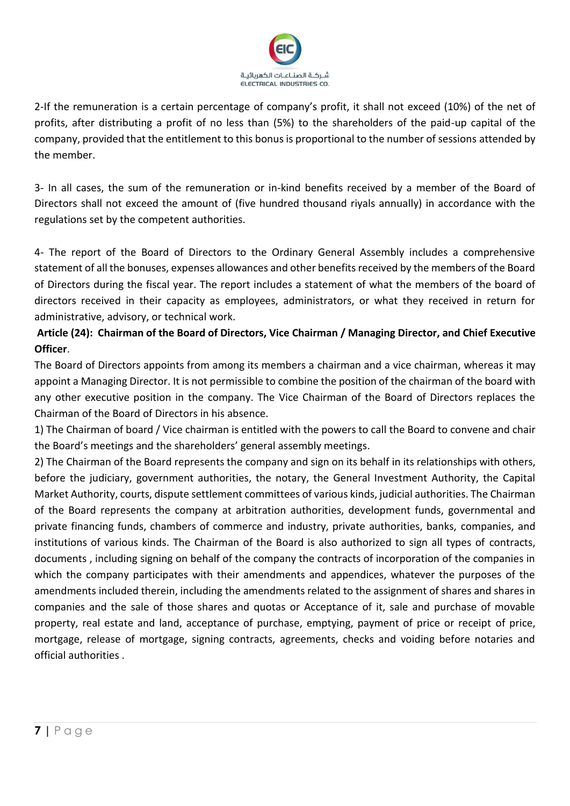

2-If the remuneration is a certain percentage of company's profit, it shall not exceed (10%) of the net of profits, after distributing a profit of no less than (5%) to the shareholders of the paid-up capital of the company, provided that the entitlement to this bonus is proportional to the number of sessions attended by the member.

3- In all cases, the sum of the remuneration or in-kind benefits received by a member of the Board of Directors shall not exceed the amount of (five hundred thousand riyals annually) in accordance with the regulations set by the competent authorities.

4- The report of the Board of Directors to the Ordinary General Assembly includes a comprehensive statement of all the bonuses, expenses allowances and other benefits received by the members of the Board of Directors during the fiscal year. The report includes a statement of what the members of the board of directors received in their capacity as employees, administrators, or what they received in return for administrative, advisory, or technical work.

## **Article (24): Chairman of the Board of Directors, Vice Chairman / Managing Director, and Chief Executive Officer**.

The Board of Directors appoints from among its members a chairman and a vice chairman, whereas it may appoint a Managing Director. It is not permissible to combine the position of the chairman of the board with any other executive position in the company. The Vice Chairman of the Board of Directors replaces the Chairman of the Board of Directors in his absence.

1) The Chairman of board / Vice chairman is entitled with the powers to call the Board to convene and chair the Board's meetings and the shareholders' general assembly meetings.

2) The Chairman of the Board represents the company and sign on its behalf in its relationships with others, before the judiciary, government authorities, the notary, the General Investment Authority, the Capital Market Authority, courts, dispute settlement committees of various kinds, judicial authorities. The Chairman of the Board represents the company at arbitration authorities, development funds, governmental and private financing funds, chambers of commerce and industry, private authorities, banks, companies, and institutions of various kinds. The Chairman of the Board is also authorized to sign all types of contracts, documents , including signing on behalf of the company the contracts of incorporation of the companies in which the company participates with their amendments and appendices, whatever the purposes of the amendments included therein, including the amendments related to the assignment of shares and shares in companies and the sale of those shares and quotas or Acceptance of it, sale and purchase of movable property, real estate and land, acceptance of purchase, emptying, payment of price or receipt of price, mortgage, release of mortgage, signing contracts, agreements, checks and voiding before notaries and official authorities .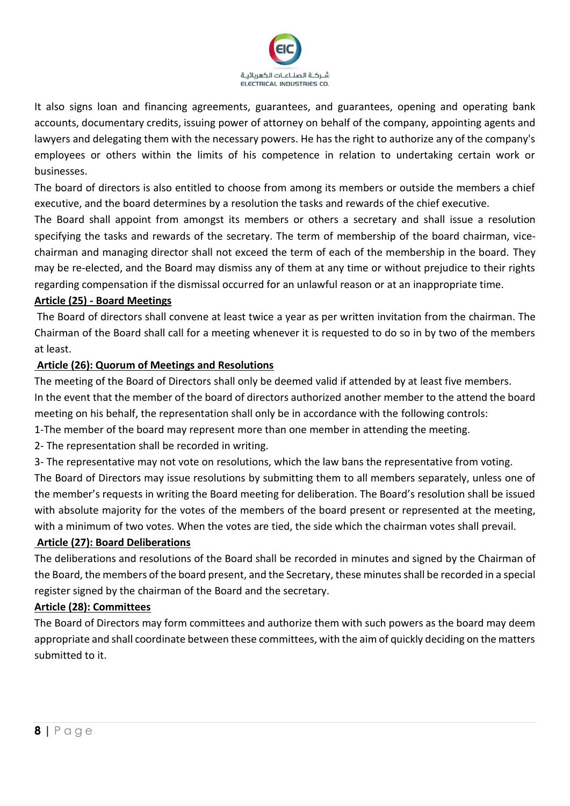

It also signs loan and financing agreements, guarantees, and guarantees, opening and operating bank accounts, documentary credits, issuing power of attorney on behalf of the company, appointing agents and lawyers and delegating them with the necessary powers. He has the right to authorize any of the company's employees or others within the limits of his competence in relation to undertaking certain work or businesses.

The board of directors is also entitled to choose from among its members or outside the members a chief executive, and the board determines by a resolution the tasks and rewards of the chief executive.

The Board shall appoint from amongst its members or others a secretary and shall issue a resolution specifying the tasks and rewards of the secretary. The term of membership of the board chairman, vicechairman and managing director shall not exceed the term of each of the membership in the board. They may be re-elected, and the Board may dismiss any of them at any time or without prejudice to their rights regarding compensation if the dismissal occurred for an unlawful reason or at an inappropriate time.

### **Article (25) - Board Meetings**

The Board of directors shall convene at least twice a year as per written invitation from the chairman. The Chairman of the Board shall call for a meeting whenever it is requested to do so in by two of the members at least.

## **Article (26): Quorum of Meetings and Resolutions**

The meeting of the Board of Directors shall only be deemed valid if attended by at least five members. In the event that the member of the board of directors authorized another member to the attend the board meeting on his behalf, the representation shall only be in accordance with the following controls:

- 1-The member of the board may represent more than one member in attending the meeting.
- 2- The representation shall be recorded in writing.
- 3- The representative may not vote on resolutions, which the law bans the representative from voting.

The Board of Directors may issue resolutions by submitting them to all members separately, unless one of the member's requests in writing the Board meeting for deliberation. The Board's resolution shall be issued with absolute majority for the votes of the members of the board present or represented at the meeting, with a minimum of two votes. When the votes are tied, the side which the chairman votes shall prevail.

### **Article (27): Board Deliberations**

The deliberations and resolutions of the Board shall be recorded in minutes and signed by the Chairman of the Board, the members of the board present, and the Secretary, these minutes shall be recorded in a special register signed by the chairman of the Board and the secretary.

### **Article (28): Committees**

The Board of Directors may form committees and authorize them with such powers as the board may deem appropriate and shall coordinate between these committees, with the aim of quickly deciding on the matters submitted to it.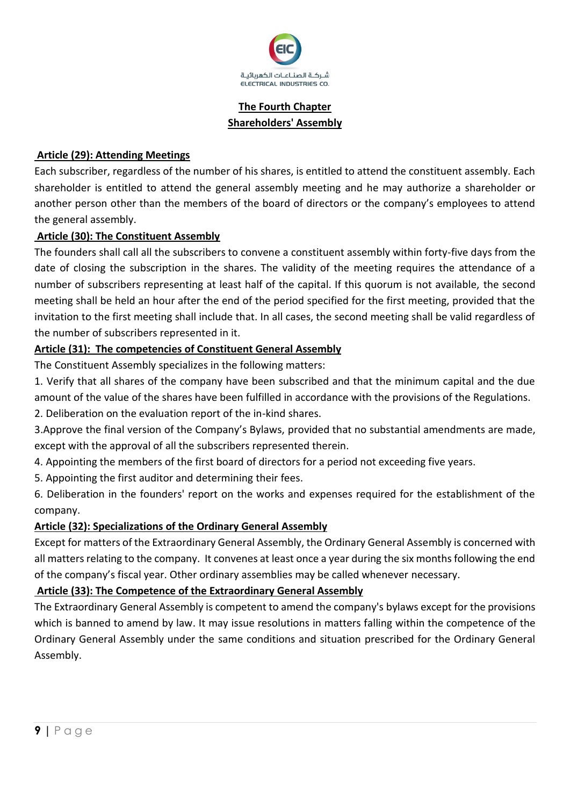

# **The Fourth Chapter Shareholders' Assembly**

## **Article (29): Attending Meetings**

Each subscriber, regardless of the number of his shares, is entitled to attend the constituent assembly. Each shareholder is entitled to attend the general assembly meeting and he may authorize a shareholder or another person other than the members of the board of directors or the company's employees to attend the general assembly.

### **Article (30): The Constituent Assembly**

The founders shall call all the subscribers to convene a constituent assembly within forty-five days from the date of closing the subscription in the shares. The validity of the meeting requires the attendance of a number of subscribers representing at least half of the capital. If this quorum is not available, the second meeting shall be held an hour after the end of the period specified for the first meeting, provided that the invitation to the first meeting shall include that. In all cases, the second meeting shall be valid regardless of the number of subscribers represented in it.

## **Article (31): The competencies of Constituent General Assembly**

The Constituent Assembly specializes in the following matters:

- 1. Verify that all shares of the company have been subscribed and that the minimum capital and the due amount of the value of the shares have been fulfilled in accordance with the provisions of the Regulations.
- 2. Deliberation on the evaluation report of the in-kind shares.
- 3.Approve the final version of the Company's Bylaws, provided that no substantial amendments are made, except with the approval of all the subscribers represented therein.
- 4. Appointing the members of the first board of directors for a period not exceeding five years.
- 5. Appointing the first auditor and determining their fees.

6. Deliberation in the founders' report on the works and expenses required for the establishment of the company.

### **Article (32): Specializations of the Ordinary General Assembly**

Except for matters of the Extraordinary General Assembly, the Ordinary General Assembly is concerned with all matters relating to the company. It convenes at least once a year during the six months following the end of the company's fiscal year. Other ordinary assemblies may be called whenever necessary.

## **Article (33): The Competence of the Extraordinary General Assembly**

The Extraordinary General Assembly is competent to amend the company's bylaws except for the provisions which is banned to amend by law. It may issue resolutions in matters falling within the competence of the Ordinary General Assembly under the same conditions and situation prescribed for the Ordinary General Assembly.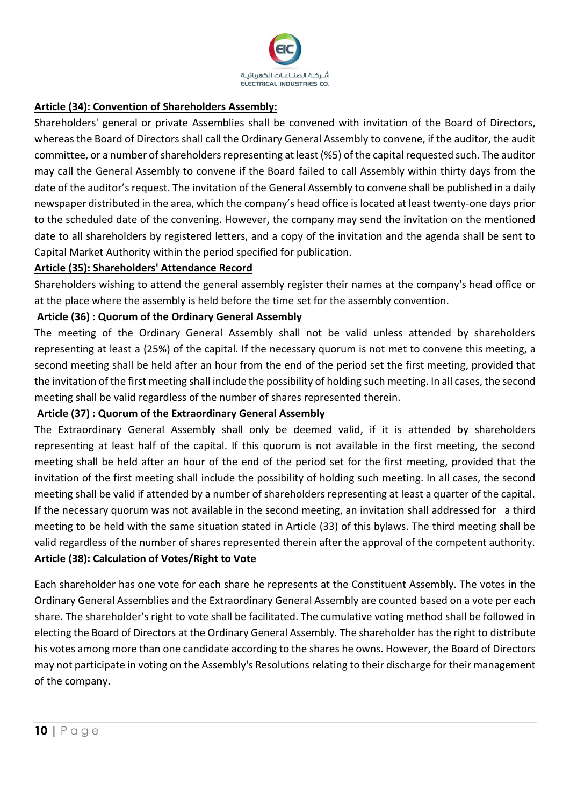

### **Article (34): Convention of Shareholders Assembly:**

Shareholders' general or private Assemblies shall be convened with invitation of the Board of Directors, whereas the Board of Directors shall call the Ordinary General Assembly to convene, if the auditor, the audit committee, or a number of shareholders representing at least (%5) of the capital requested such. The auditor may call the General Assembly to convene if the Board failed to call Assembly within thirty days from the date of the auditor's request. The invitation of the General Assembly to convene shall be published in a daily newspaper distributed in the area, which the company's head office is located at least twenty-one days prior to the scheduled date of the convening. However, the company may send the invitation on the mentioned date to all shareholders by registered letters, and a copy of the invitation and the agenda shall be sent to Capital Market Authority within the period specified for publication.

## **Article (35): Shareholders' Attendance Record**

Shareholders wishing to attend the general assembly register their names at the company's head office or at the place where the assembly is held before the time set for the assembly convention.

## **Article (36) : Quorum of the Ordinary General Assembly**

The meeting of the Ordinary General Assembly shall not be valid unless attended by shareholders representing at least a (25%) of the capital. If the necessary quorum is not met to convene this meeting, a second meeting shall be held after an hour from the end of the period set the first meeting, provided that the invitation of the first meeting shall include the possibility of holding such meeting. In all cases, the second meeting shall be valid regardless of the number of shares represented therein.

## **Article (37) : Quorum of the Extraordinary General Assembly**

The Extraordinary General Assembly shall only be deemed valid, if it is attended by shareholders representing at least half of the capital. If this quorum is not available in the first meeting, the second meeting shall be held after an hour of the end of the period set for the first meeting, provided that the invitation of the first meeting shall include the possibility of holding such meeting. In all cases, the second meeting shall be valid if attended by a number of shareholders representing at least a quarter of the capital. If the necessary quorum was not available in the second meeting, an invitation shall addressed for a third meeting to be held with the same situation stated in Article (33) of this bylaws. The third meeting shall be valid regardless of the number of shares represented therein after the approval of the competent authority. **Article (38): Calculation of Votes/Right to Vote**

Each shareholder has one vote for each share he represents at the Constituent Assembly. The votes in the Ordinary General Assemblies and the Extraordinary General Assembly are counted based on a vote per each share. The shareholder's right to vote shall be facilitated. The cumulative voting method shall be followed in electing the Board of Directors at the Ordinary General Assembly. The shareholder has the right to distribute his votes among more than one candidate according to the shares he owns. However, the Board of Directors may not participate in voting on the Assembly's Resolutions relating to their discharge for their management of the company.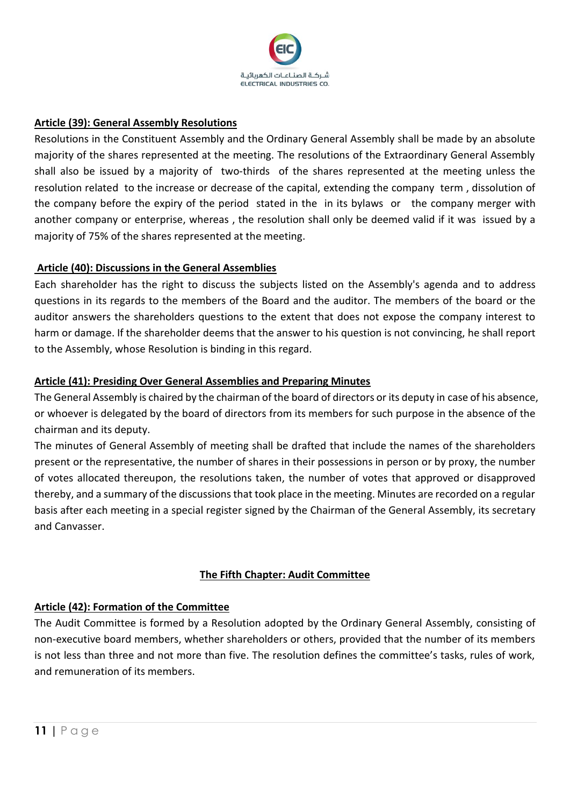

## **Article (39): General Assembly Resolutions**

Resolutions in the Constituent Assembly and the Ordinary General Assembly shall be made by an absolute majority of the shares represented at the meeting. The resolutions of the Extraordinary General Assembly shall also be issued by a majority of two-thirds of the shares represented at the meeting unless the resolution related to the increase or decrease of the capital, extending the company term , dissolution of the company before the expiry of the period stated in the in its bylaws or the company merger with another company or enterprise, whereas , the resolution shall only be deemed valid if it was issued by a majority of 75% of the shares represented at the meeting.

### **Article (40): Discussions in the General Assemblies**

Each shareholder has the right to discuss the subjects listed on the Assembly's agenda and to address questions in its regards to the members of the Board and the auditor. The members of the board or the auditor answers the shareholders questions to the extent that does not expose the company interest to harm or damage. If the shareholder deems that the answer to his question is not convincing, he shall report to the Assembly, whose Resolution is binding in this regard.

### **Article (41): Presiding Over General Assemblies and Preparing Minutes**

The General Assembly is chaired by the chairman of the board of directors or its deputy in case of his absence, or whoever is delegated by the board of directors from its members for such purpose in the absence of the chairman and its deputy.

The minutes of General Assembly of meeting shall be drafted that include the names of the shareholders present or the representative, the number of shares in their possessions in person or by proxy, the number of votes allocated thereupon, the resolutions taken, the number of votes that approved or disapproved thereby, and a summary of the discussions that took place in the meeting. Minutes are recorded on a regular basis after each meeting in a special register signed by the Chairman of the General Assembly, its secretary and Canvasser.

## **The Fifth Chapter: Audit Committee**

### **Article (42): Formation of the Committee**

The Audit Committee is formed by a Resolution adopted by the Ordinary General Assembly, consisting of non-executive board members, whether shareholders or others, provided that the number of its members is not less than three and not more than five. The resolution defines the committee's tasks, rules of work, and remuneration of its members.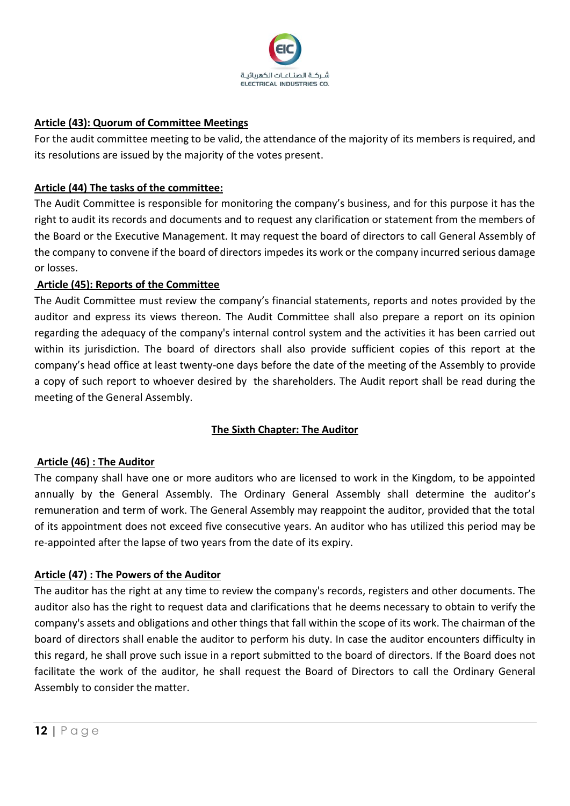

### **Article (43): Quorum of Committee Meetings**

For the audit committee meeting to be valid, the attendance of the majority of its members is required, and its resolutions are issued by the majority of the votes present.

## **Article (44) The tasks of the committee:**

The Audit Committee is responsible for monitoring the company's business, and for this purpose it has the right to audit its records and documents and to request any clarification or statement from the members of the Board or the Executive Management. It may request the board of directors to call General Assembly of the company to convene if the board of directors impedes its work or the company incurred serious damage or losses.

## **Article (45): Reports of the Committee**

The Audit Committee must review the company's financial statements, reports and notes provided by the auditor and express its views thereon. The Audit Committee shall also prepare a report on its opinion regarding the adequacy of the company's internal control system and the activities it has been carried out within its jurisdiction. The board of directors shall also provide sufficient copies of this report at the company's head office at least twenty-one days before the date of the meeting of the Assembly to provide a copy of such report to whoever desired by the shareholders. The Audit report shall be read during the meeting of the General Assembly.

## **The Sixth Chapter: The Auditor**

### **Article (46) : The Auditor**

The company shall have one or more auditors who are licensed to work in the Kingdom, to be appointed annually by the General Assembly. The Ordinary General Assembly shall determine the auditor's remuneration and term of work. The General Assembly may reappoint the auditor, provided that the total of its appointment does not exceed five consecutive years. An auditor who has utilized this period may be re-appointed after the lapse of two years from the date of its expiry.

### **Article (47) : The Powers of the Auditor**

The auditor has the right at any time to review the company's records, registers and other documents. The auditor also has the right to request data and clarifications that he deems necessary to obtain to verify the company's assets and obligations and other things that fall within the scope of its work. The chairman of the board of directors shall enable the auditor to perform his duty. In case the auditor encounters difficulty in this regard, he shall prove such issue in a report submitted to the board of directors. If the Board does not facilitate the work of the auditor, he shall request the Board of Directors to call the Ordinary General Assembly to consider the matter.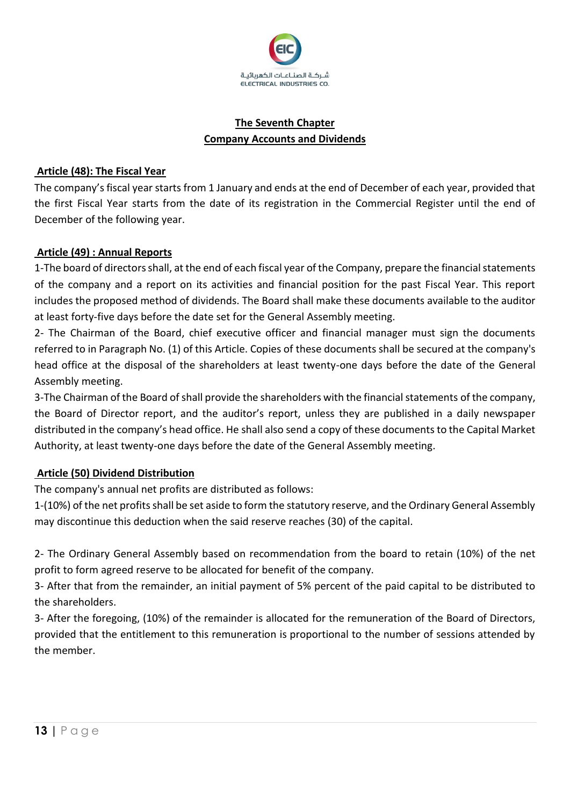

## **The Seventh Chapter Company Accounts and Dividends**

## **Article (48): The Fiscal Year**

The company's fiscal year starts from 1 January and ends at the end of December of each year, provided that the first Fiscal Year starts from the date of its registration in the Commercial Register until the end of December of the following year.

### **Article (49) : Annual Reports**

1-The board of directors shall, at the end of each fiscal year of the Company, prepare the financial statements of the company and a report on its activities and financial position for the past Fiscal Year. This report includes the proposed method of dividends. The Board shall make these documents available to the auditor at least forty-five days before the date set for the General Assembly meeting.

2- The Chairman of the Board, chief executive officer and financial manager must sign the documents referred to in Paragraph No. (1) of this Article. Copies of these documents shall be secured at the company's head office at the disposal of the shareholders at least twenty-one days before the date of the General Assembly meeting.

3-The Chairman of the Board of shall provide the shareholders with the financial statements of the company, the Board of Director report, and the auditor's report, unless they are published in a daily newspaper distributed in the company's head office. He shall also send a copy of these documents to the Capital Market Authority, at least twenty-one days before the date of the General Assembly meeting.

## **Article (50) Dividend Distribution**

The company's annual net profits are distributed as follows:

1-(10%) of the net profits shall be set aside to form the statutory reserve, and the Ordinary General Assembly may discontinue this deduction when the said reserve reaches (30) of the capital.

2- The Ordinary General Assembly based on recommendation from the board to retain (10%) of the net profit to form agreed reserve to be allocated for benefit of the company.

3- After that from the remainder, an initial payment of 5% percent of the paid capital to be distributed to the shareholders.

3- After the foregoing, (10%) of the remainder is allocated for the remuneration of the Board of Directors, provided that the entitlement to this remuneration is proportional to the number of sessions attended by the member.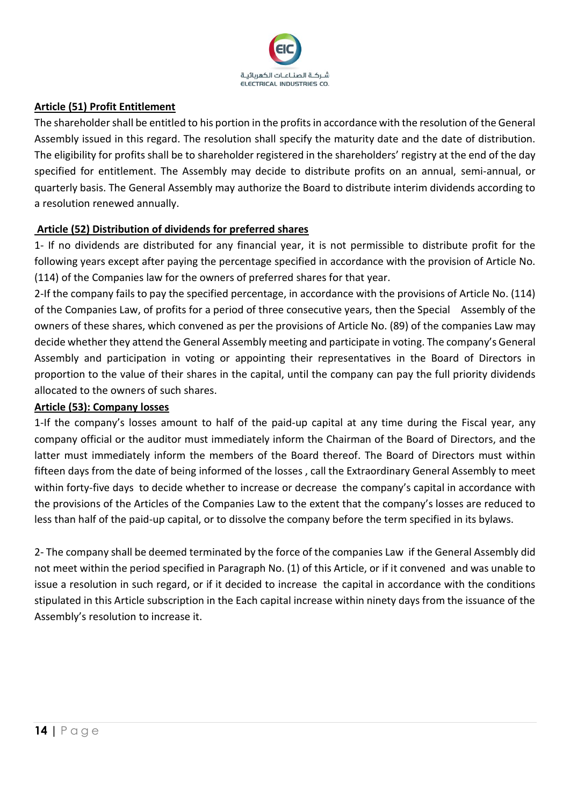

### **Article (51) Profit Entitlement**

The shareholder shall be entitled to his portion in the profits in accordance with the resolution of the General Assembly issued in this regard. The resolution shall specify the maturity date and the date of distribution. The eligibility for profits shall be to shareholder registered in the shareholders' registry at the end of the day specified for entitlement. The Assembly may decide to distribute profits on an annual, semi-annual, or quarterly basis. The General Assembly may authorize the Board to distribute interim dividends according to a resolution renewed annually.

### **Article (52) Distribution of dividends for preferred shares**

1- If no dividends are distributed for any financial year, it is not permissible to distribute profit for the following years except after paying the percentage specified in accordance with the provision of Article No. (114) of the Companies law for the owners of preferred shares for that year.

2-If the company fails to pay the specified percentage, in accordance with the provisions of Article No. (114) of the Companies Law, of profits for a period of three consecutive years, then the Special Assembly of the owners of these shares, which convened as per the provisions of Article No. (89) of the companies Law may decide whether they attend the General Assembly meeting and participate in voting. The company's General Assembly and participation in voting or appointing their representatives in the Board of Directors in proportion to the value of their shares in the capital, until the company can pay the full priority dividends allocated to the owners of such shares.

### **Article (53): Company losses**

1-If the company's losses amount to half of the paid-up capital at any time during the Fiscal year, any company official or the auditor must immediately inform the Chairman of the Board of Directors, and the latter must immediately inform the members of the Board thereof. The Board of Directors must within fifteen days from the date of being informed of the losses , call the Extraordinary General Assembly to meet within forty-five days to decide whether to increase or decrease the company's capital in accordance with the provisions of the Articles of the Companies Law to the extent that the company's losses are reduced to less than half of the paid-up capital, or to dissolve the company before the term specified in its bylaws.

2- The company shall be deemed terminated by the force of the companies Law if the General Assembly did not meet within the period specified in Paragraph No. (1) of this Article, or if it convened and was unable to issue a resolution in such regard, or if it decided to increase the capital in accordance with the conditions stipulated in this Article subscription in the Each capital increase within ninety days from the issuance of the Assembly's resolution to increase it.